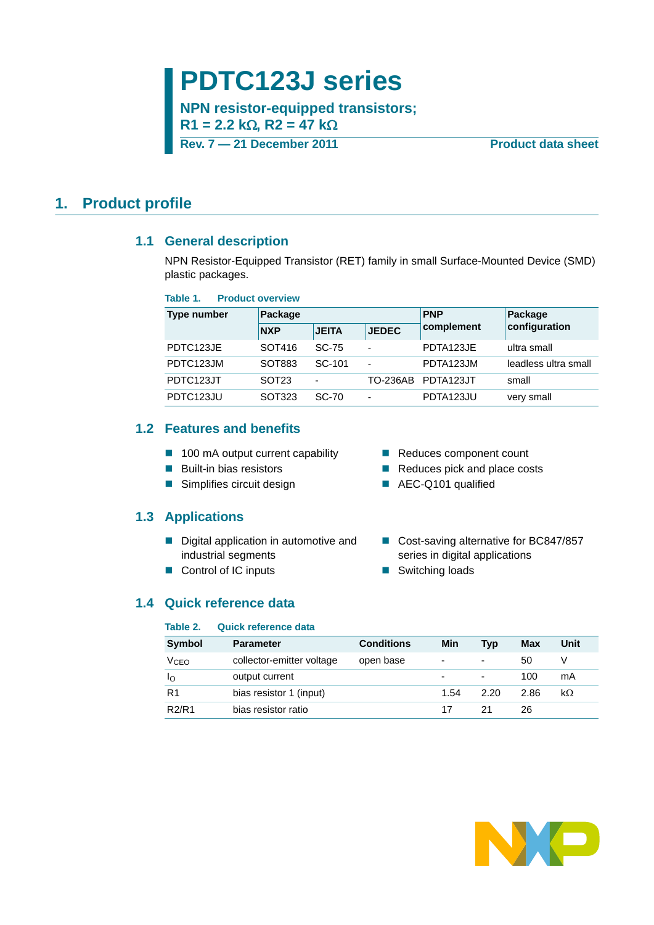# **PDTC123J series**

**NPN resistor-equipped transistors;**  $R1 = 2.2$  k $\Omega$ ,  $R2 = 47$  k $\Omega$ 

**Rev. 7 — 21 December 2011 Product data sheet**

### <span id="page-0-1"></span><span id="page-0-0"></span>**1. Product profile**

#### **1.1 General description**

NPN Resistor-Equipped Transistor (RET) family in small Surface-Mounted Device (SMD) plastic packages.

#### **Table 1. Product overview**

| Type number | Package           |                          |                          | <b>PNP</b>         | Package              |  |
|-------------|-------------------|--------------------------|--------------------------|--------------------|----------------------|--|
|             | <b>NXP</b>        | <b>JEITA</b>             | <b>JEDEC</b>             | complement         | configuration        |  |
| PDTC123JE   | SOT416            | <b>SC-75</b>             | $\overline{\phantom{0}}$ | PDTA123JE          | ultra small          |  |
| PDTC123JM   | SOT883            | SC-101                   | $\blacksquare$           | PDTA123JM          | leadless ultra small |  |
| PDTC123JT   | SOT <sub>23</sub> | $\overline{\phantom{0}}$ |                          | TO-236AB PDTA123JT | small                |  |
| PDTC123JU   | SOT323            | <b>SC-70</b>             | $\overline{\phantom{0}}$ | PDTA123JU          | very small           |  |

### <span id="page-0-2"></span>**1.2 Features and benefits**

- 100 mA output current capability Reduces component count
- 
- Simplifies circuit design AEC-Q101 qualified

#### <span id="page-0-3"></span>**1.3 Applications**

- Digital application in automotive and industrial segments
- Control of IC inputs Switching loads
- 
- Built-in bias resistors **Reduces pick and place costs** 
	-
	- Cost-saving alternative for BC847/857 series in digital applications
	-

#### <span id="page-0-4"></span>**1.4 Quick reference data**

#### **Table 2. Quick reference data**

| <b>Symbol</b>                  | <b>Parameter</b>          | <b>Conditions</b> | Min  | Typ                      | Max  | Unit |
|--------------------------------|---------------------------|-------------------|------|--------------------------|------|------|
| V <sub>CEO</sub>               | collector-emitter voltage | open base         | ٠    | ۰                        | 50   |      |
| ΙO                             | output current            |                   |      | $\overline{\phantom{0}}$ | 100  | mA   |
| R <sub>1</sub>                 | bias resistor 1 (input)   |                   | 1.54 | 2.20                     | 2.86 | kΩ   |
| R <sub>2</sub> /R <sub>1</sub> | bias resistor ratio       |                   | 17   | 21                       | 26   |      |

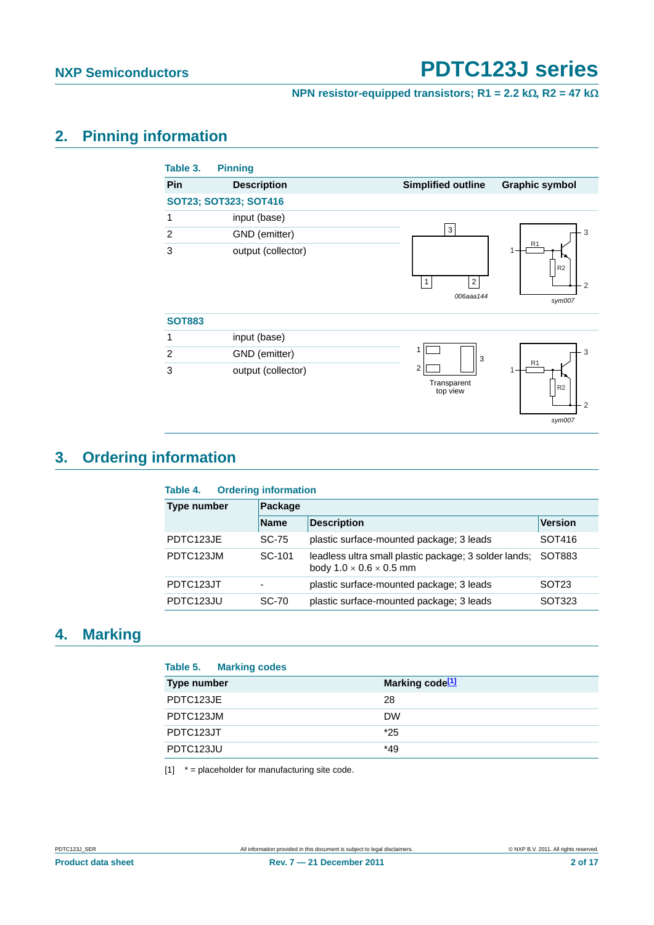## **NPN resistor-equipped transistors; R1 = 2.2 k** $\Omega$ **, R2 = 47 k** $\Omega$

## <span id="page-1-1"></span>**2. Pinning information**

| Pin            | <b>Description</b>    | <b>Simplified outline</b>      | <b>Graphic symbol</b>                                             |
|----------------|-----------------------|--------------------------------|-------------------------------------------------------------------|
|                | SOT23; SOT323; SOT416 |                                |                                                                   |
| 1              | input (base)          |                                |                                                                   |
| $\overline{2}$ | GND (emitter)         | 3                              | 3                                                                 |
| 3              | output (collector)    | 2<br>$\mathbf{1}$<br>006aaa144 | R <sub>1</sub><br>1<br>R <sub>2</sub><br>$\overline{2}$<br>sym007 |
| <b>SOT883</b>  |                       |                                |                                                                   |
| 1              | input (base)          |                                |                                                                   |
| $\overline{2}$ | GND (emitter)         | 1<br>3                         | 3                                                                 |
| 3              | output (collector)    | 2<br>Transparent<br>top view   | R <sub>1</sub><br>1<br>R <sub>2</sub><br>$\overline{2}$<br>sym007 |

## <span id="page-1-2"></span>**3. Ordering information**

| <b>Ordering information</b><br>Table 4. |             |                                                                                              |                   |  |  |  |  |
|-----------------------------------------|-------------|----------------------------------------------------------------------------------------------|-------------------|--|--|--|--|
| <b>Type number</b>                      | Package     |                                                                                              |                   |  |  |  |  |
|                                         | <b>Name</b> | <b>Description</b>                                                                           | <b>Version</b>    |  |  |  |  |
| PDTC123JE                               | SC-75       | plastic surface-mounted package; 3 leads                                                     | SOT416            |  |  |  |  |
| PDTC123JM                               | SC-101      | leadless ultra small plastic package; 3 solder lands;<br>body $1.0 \times 0.6 \times 0.5$ mm | SOT883            |  |  |  |  |
| PDTC123JT                               |             | plastic surface-mounted package; 3 leads                                                     | SOT <sub>23</sub> |  |  |  |  |
| PDTC123JU                               | SC-70       | plastic surface-mounted package; 3 leads                                                     | SOT323            |  |  |  |  |

## <span id="page-1-3"></span>**4. Marking**

| Table 5. Marking codes |                             |
|------------------------|-----------------------------|
| <b>Type number</b>     | Marking code <sup>[1]</sup> |
| PDTC123JE              | 28                          |
| PDTC123JM              | <b>DW</b>                   |
| PDTC123JT              | $*25$                       |
| PDTC123JU              | $*49$                       |

<span id="page-1-0"></span> $[1]$   $*$  = placeholder for manufacturing site code.

**Product data sheet Rev. 7 — 21 December 2011 2 of 17**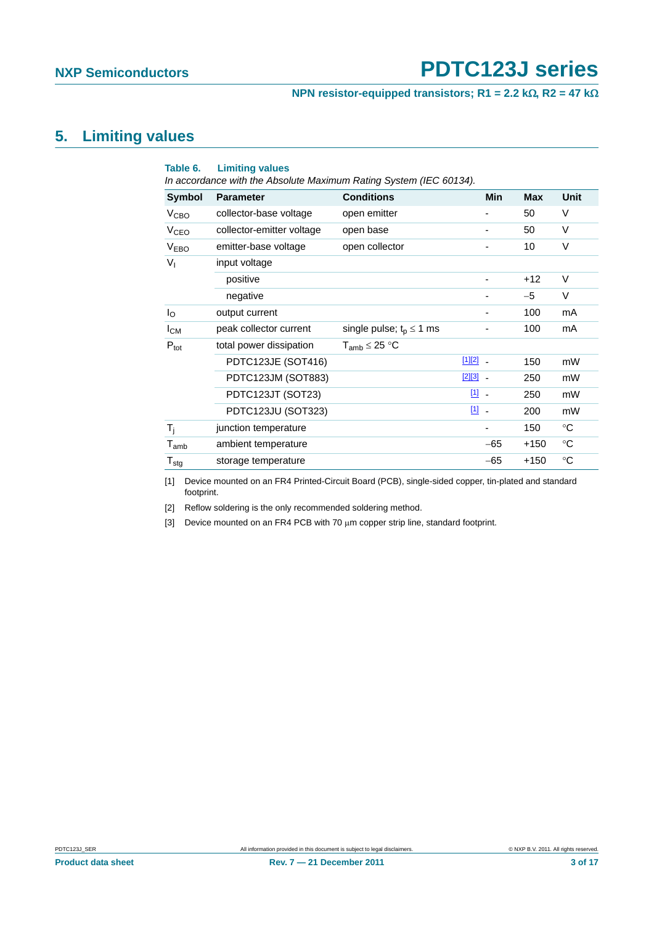#### **NPN resistor-equipped transistors; R1 = 2.2 k** $\Omega$ **, R2 = 47 k** $\Omega$

## <span id="page-2-3"></span>**5. Limiting values**

| Table 6.               | <b>Limiting values</b><br>In accordance with the Absolute Maximum Rating System (IEC 60134). |                              |              |            |            |             |
|------------------------|----------------------------------------------------------------------------------------------|------------------------------|--------------|------------|------------|-------------|
| <b>Symbol</b>          | <b>Parameter</b>                                                                             | <b>Conditions</b>            |              | <b>Min</b> | <b>Max</b> | <b>Unit</b> |
| V <sub>CBO</sub>       | collector-base voltage                                                                       | open emitter                 |              |            | 50         | V           |
| <b>V<sub>CEO</sub></b> | collector-emitter voltage                                                                    | open base                    |              | -          | 50         | V           |
| <b>VEBO</b>            | emitter-base voltage                                                                         | open collector               |              |            | 10         | V           |
| $V_{I}$                | input voltage                                                                                |                              |              |            |            |             |
|                        | positive                                                                                     |                              |              |            | $+12$      | V           |
|                        | negative                                                                                     |                              |              |            | $-5$       | V           |
| $I_{\rm O}$            | output current                                                                               |                              |              |            | 100        | mA          |
| $I_{CM}$               | peak collector current                                                                       | single pulse; $t_p \le 1$ ms |              | -          | 100        | mA          |
| $P_{\text{tot}}$       | total power dissipation                                                                      | $T_{amb}$ $\leq$ 25 °C       |              |            |            |             |
|                        | PDTC123JE (SOT416)                                                                           |                              | $[1][2]$ -   |            | 150        | mW          |
|                        | PDTC123JM (SOT883)                                                                           |                              | $[2][3]$ $-$ |            | 250        | mW          |
|                        | PDTC123JT (SOT23)                                                                            |                              | $11 -$       |            | 250        | mW          |
|                        | PDTC123JU (SOT323)                                                                           |                              | $11 -$       |            | 200        | mW          |
| $T_i$                  | junction temperature                                                                         |                              |              |            | 150        | $^{\circ}C$ |
| $T_{amb}$              | ambient temperature                                                                          |                              |              | $-65$      | +150       | $^{\circ}C$ |
| $T_{\text{stg}}$       | storage temperature                                                                          |                              |              | $-65$      | $+150$     | $^{\circ}C$ |

<span id="page-2-0"></span>[1] Device mounted on an FR4 Printed-Circuit Board (PCB), single-sided copper, tin-plated and standard footprint.

<span id="page-2-1"></span>[2] Reflow soldering is the only recommended soldering method.

<span id="page-2-2"></span>[3] Device mounted on an FR4 PCB with 70 µm copper strip line, standard footprint.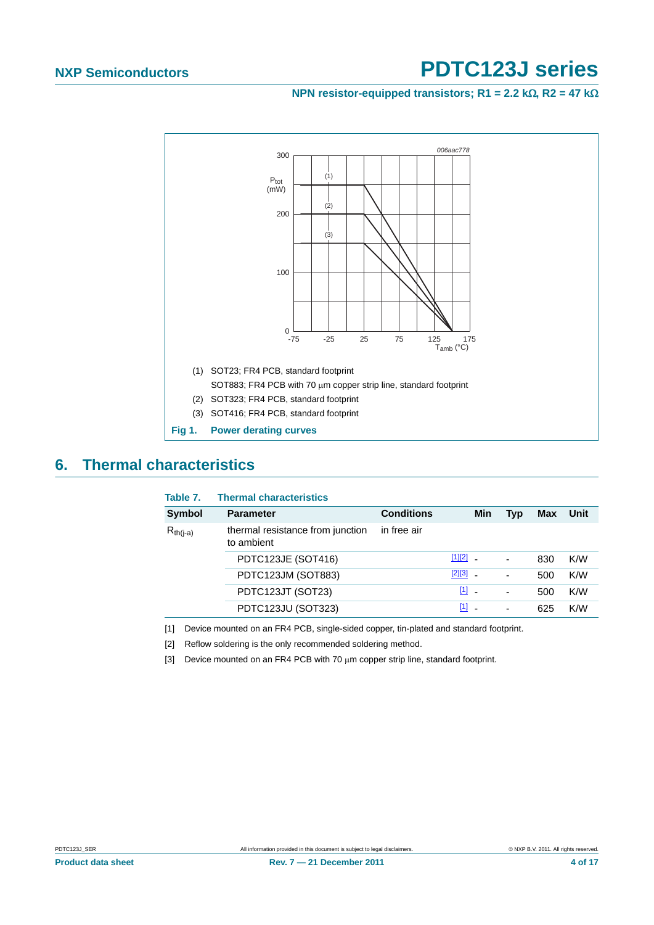**NPN resistor-equipped transistors; R1 = 2.2 k** $\Omega$ **, R2 = 47 k** $\Omega$ 



## <span id="page-3-3"></span>**6. Thermal characteristics**

| Table 7.      | <b>Thermal characteristics</b>                 |                   |              |     |     |            |      |
|---------------|------------------------------------------------|-------------------|--------------|-----|-----|------------|------|
| Symbol        | <b>Parameter</b>                               | <b>Conditions</b> |              | Min | Typ | <b>Max</b> | Unit |
| $R_{th(i-a)}$ | thermal resistance from junction<br>to ambient | in free air       |              |     |     |            |      |
|               | PDTC123JE (SOT416)                             |                   | $[1][2]$ $-$ |     | -   | 830        | K/W  |
|               | PDTC123JM (SOT883)                             |                   | $[2][3]$     |     |     | 500        | K/W  |
|               | PDTC123JT (SOT23)                              |                   | $[1]$ $-$    |     | -   | 500        | K/W  |
|               | PDTC123JU (SOT323)                             |                   | $[1]$        |     |     | 625        | K/W  |

<span id="page-3-0"></span>[1] Device mounted on an FR4 PCB, single-sided copper, tin-plated and standard footprint.

<span id="page-3-1"></span>[2] Reflow soldering is the only recommended soldering method.

<span id="page-3-2"></span>[3] Device mounted on an FR4 PCB with 70  $\mu$ m copper strip line, standard footprint.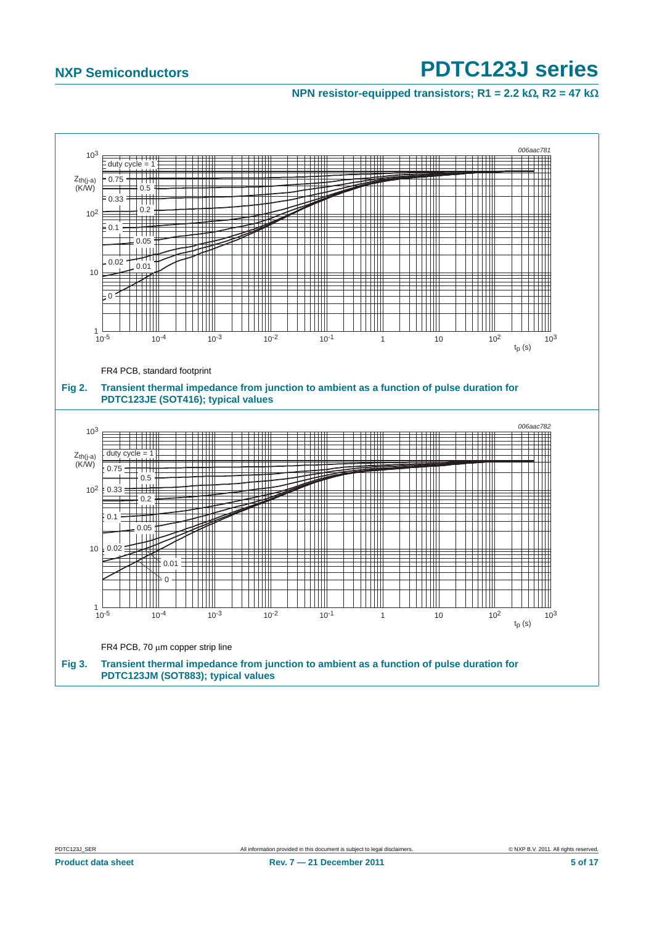<span id="page-4-0"></span>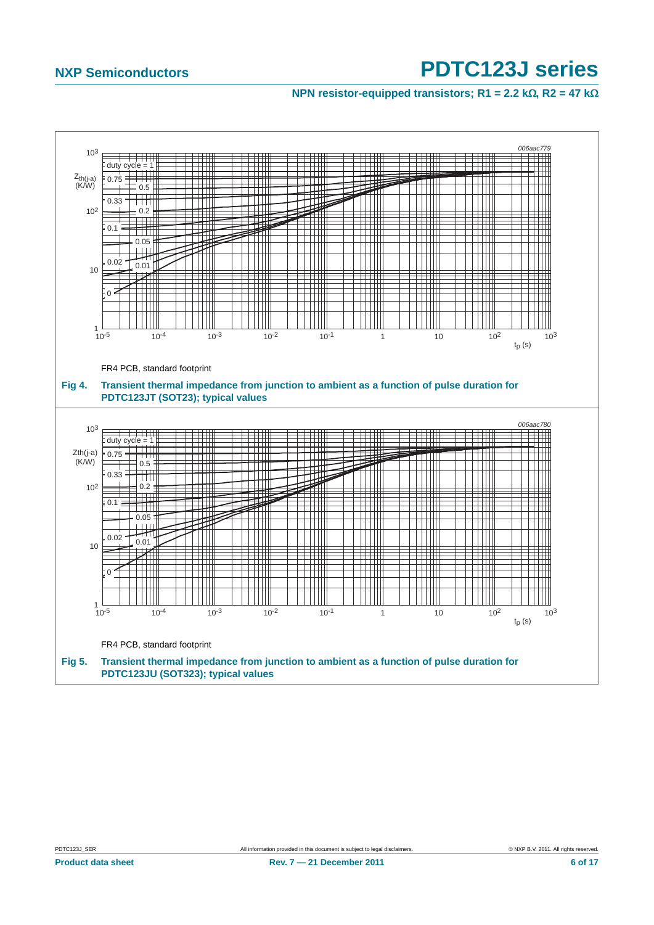**NPN resistor-equipped transistors; R1 = 2.2 k** $\Omega$ **, R2 = 47 k** $\Omega$ 



<span id="page-5-0"></span>**Product data sheet** 6 of 17 **Rev. 7 – 21 December 2011** 6 **17 6 6 6 6 17**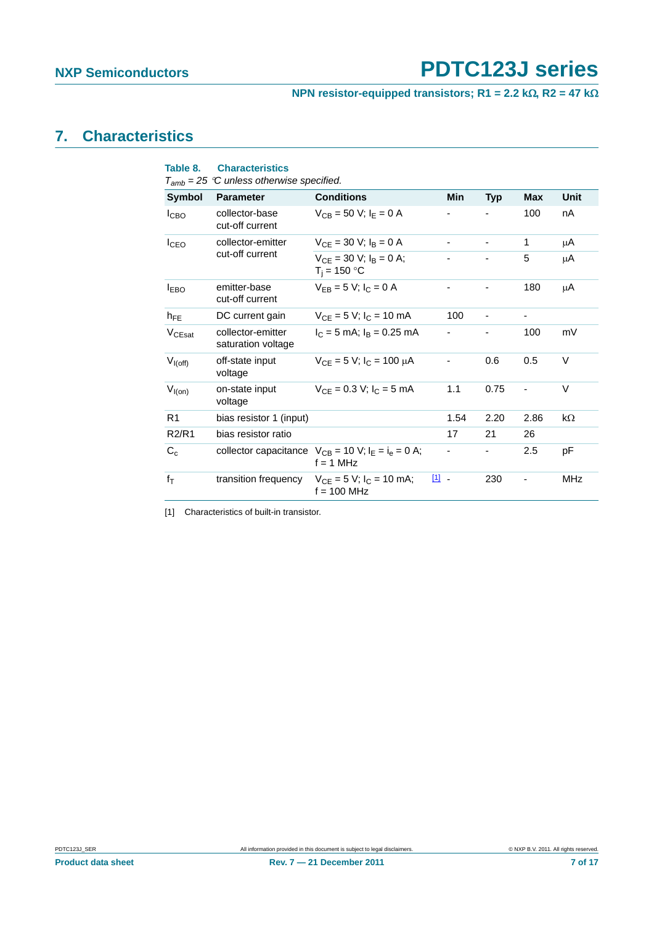**NPN resistor-equipped transistors; R1 = 2.2 k** $\Omega$ **, R2 = 47 k** $\Omega$ 

## <span id="page-6-1"></span>**7. Characteristics**

| Table 8.                       | <b>Characteristics</b><br>$T_{amb}$ = 25 °C unless otherwise specified. |                                                                            |            |                          |      |           |
|--------------------------------|-------------------------------------------------------------------------|----------------------------------------------------------------------------|------------|--------------------------|------|-----------|
| <b>Symbol</b>                  | <b>Parameter</b>                                                        | <b>Conditions</b>                                                          | <b>Min</b> | <b>Typ</b>               | Max  | Unit      |
| I <sub>CBO</sub>               | collector-base<br>cut-off current                                       | $V_{CB} = 50$ V; $I_E = 0$ A                                               |            |                          | 100  | nA        |
| I <sub>CEO</sub>               | collector-emitter                                                       | $V_{CF}$ = 30 V; $I_B$ = 0 A                                               |            | -                        | 1    | μA        |
|                                | cut-off current                                                         | $V_{CE} = 30 V$ ; $I_R = 0 A$ ;<br>$T_i = 150 °C$                          |            |                          | 5    | μA        |
| $I_{EBO}$                      | emitter-base<br>cut-off current                                         | $V_{EB} = 5 V$ ; $I_C = 0 A$                                               |            |                          | 180  | μA        |
| $h_{FE}$                       | DC current gain                                                         | $V_{CE} = 5 V$ ; $I_C = 10$ mA                                             | 100        |                          |      |           |
| V <sub>CEsat</sub>             | collector-emitter<br>saturation voltage                                 | $I_C = 5$ mA; $I_B = 0.25$ mA                                              |            |                          | 100  | mV        |
| $V_{I(off)}$                   | off-state input<br>voltage                                              | $V_{CF}$ = 5 V; $I_C$ = 100 $\mu$ A                                        |            | 0.6                      | 0.5  | V         |
| $V_{I(0n)}$                    | on-state input<br>voltage                                               | $V_{CF} = 0.3 V$ ; $I_C = 5 mA$                                            | 1.1        | 0.75                     |      | V         |
| R <sub>1</sub>                 | bias resistor 1 (input)                                                 |                                                                            | 1.54       | 2.20                     | 2.86 | $k\Omega$ |
| R <sub>2</sub> /R <sub>1</sub> | bias resistor ratio                                                     |                                                                            | 17         | 21                       | 26   |           |
| $C_c$                          |                                                                         | collector capacitance $V_{CB} = 10 V$ ; $I_E = I_e = 0 A$ ;<br>$f = 1$ MHz |            | $\overline{\phantom{0}}$ | 2.5  | рF        |
| $f_T$                          | transition frequency                                                    | $V_{CE} = 5 V$ ; $I_C = 10$ mA;<br>$f = 100$ MHz                           | 凹 -        | 230                      |      | MHz       |
|                                |                                                                         |                                                                            |            |                          |      |           |

<span id="page-6-0"></span>[1] Characteristics of built-in transistor.

**Product data sheet Rev. 7 — 21 December 2011 Rev. 7 — 21 December 2011 7 of 17**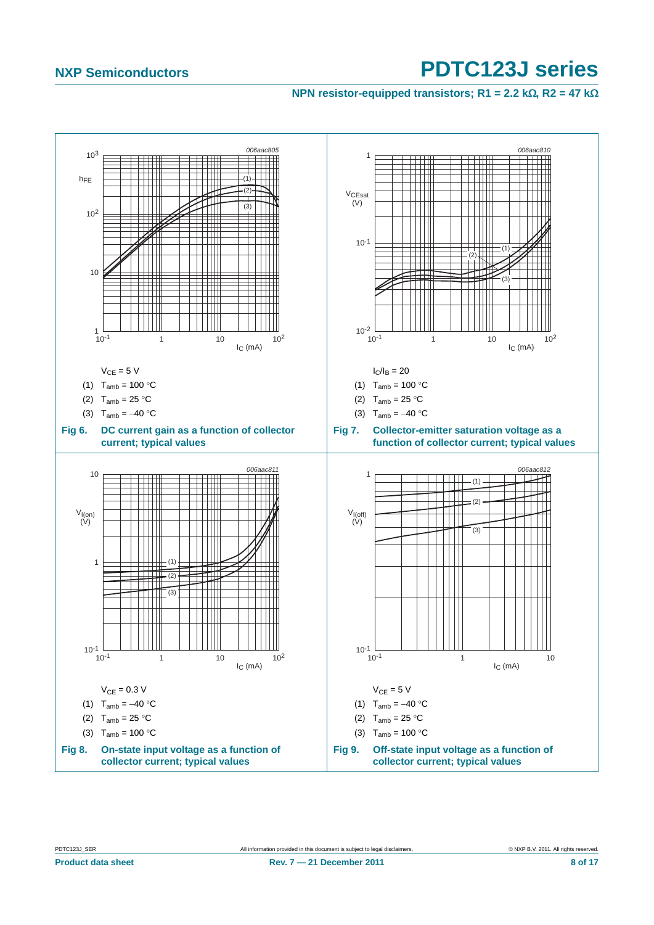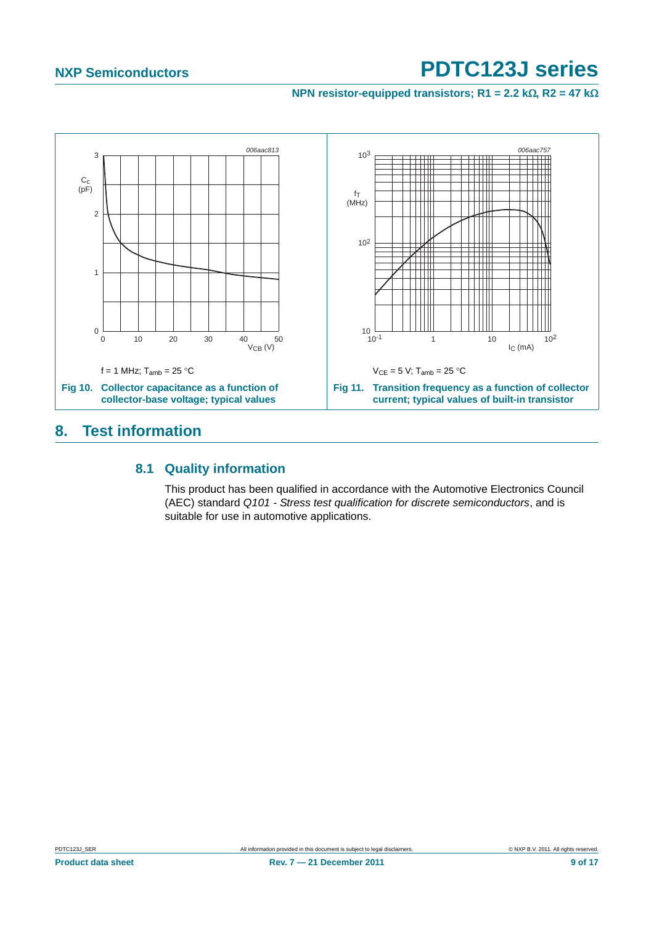**NPN resistor-equipped transistors; R1 = 2.2 k** $\Omega$ **, R2 = 47 k** $\Omega$ 



## <span id="page-8-1"></span><span id="page-8-0"></span>**8. Test information**

### **8.1 Quality information**

This product has been qualified in accordance with the Automotive Electronics Council (AEC) standard *Q101 - Stress test qualification for discrete semiconductors*, and is suitable for use in automotive applications.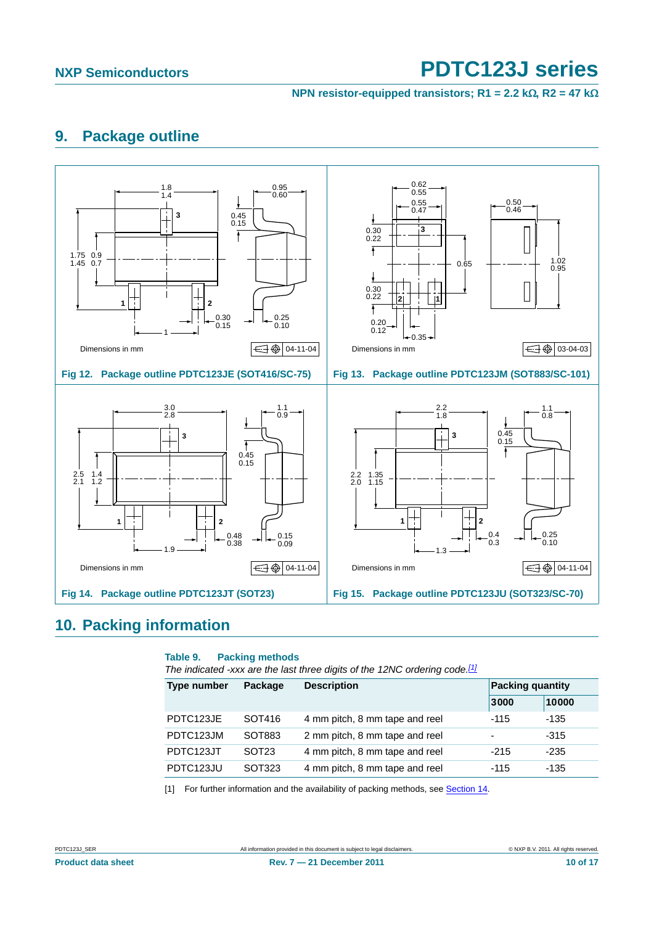**NPN resistor-equipped transistors; R1 = 2.2 k** $\Omega$ **, R2 = 47 k** $\Omega$ 

## <span id="page-9-1"></span>**9. Package outline**



## <span id="page-9-2"></span>**10. Packing information**

#### **Table 9. Packing methods**

*The indicated -xxx are the last three digits of the 12NC ordering code.[\[1\]](#page-9-0)*

| Package<br><b>Type number</b> |                   | <b>Description</b>             | <b>Packing quantity</b>  |        |  |
|-------------------------------|-------------------|--------------------------------|--------------------------|--------|--|
|                               |                   |                                | 3000                     | 10000  |  |
| PDTC123JE                     | SOT416            | 4 mm pitch, 8 mm tape and reel | $-115$                   | -135   |  |
| PDTC123JM                     | SOT883            | 2 mm pitch, 8 mm tape and reel | $\overline{\phantom{a}}$ | $-315$ |  |
| PDTC123JT                     | SOT <sub>23</sub> | 4 mm pitch, 8 mm tape and reel | $-215$                   | -235   |  |
| PDTC123JU                     | SOT323            | 4 mm pitch, 8 mm tape and reel | -115                     | -135   |  |

<span id="page-9-0"></span>[1] For further information and the availability of packing methods, see [Section 14](#page-15-0).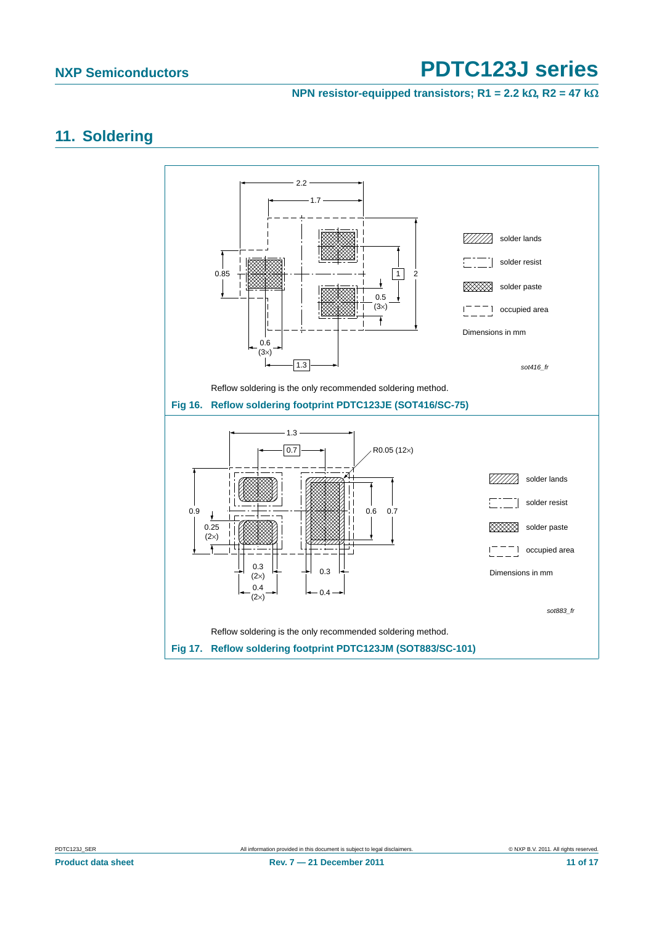**NPN resistor-equipped transistors; R1 = 2.2 k** $\Omega$ **, R2 = 47 k** $\Omega$ 

## <span id="page-10-0"></span>**11. Soldering**

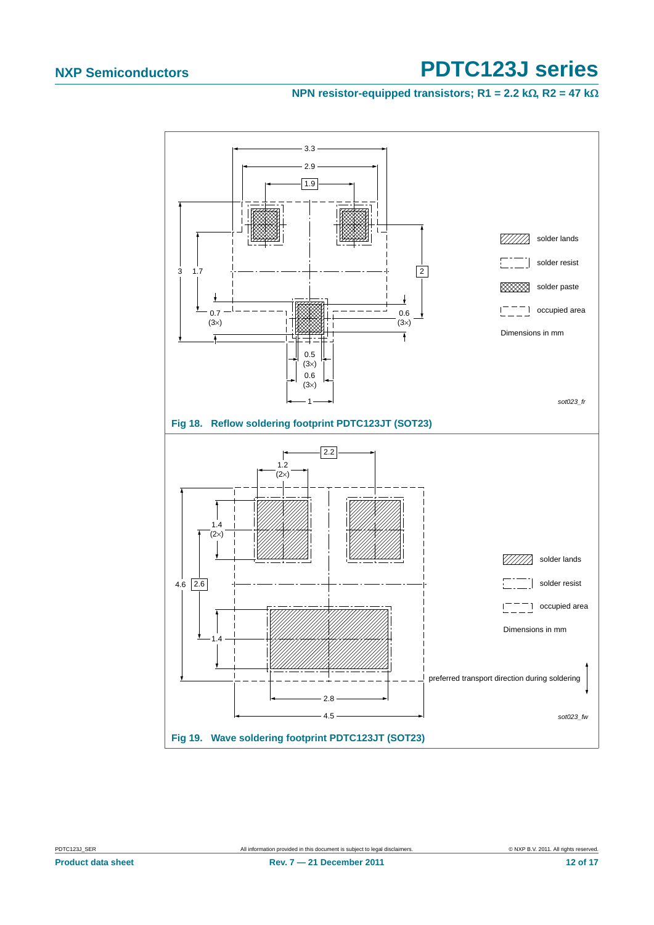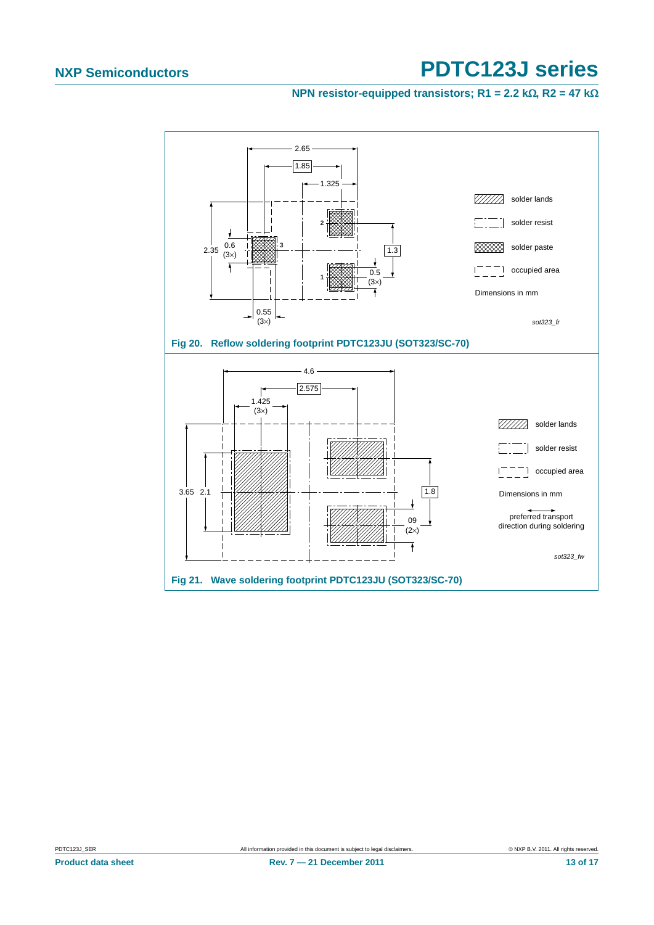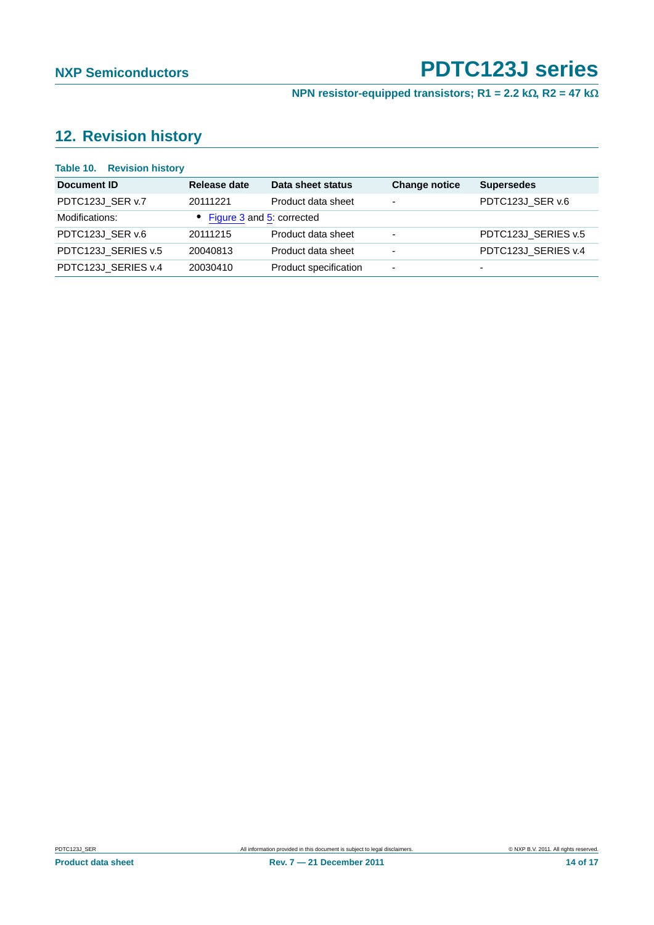**NPN resistor-equipped transistors; R1 = 2.2 k** $\Omega$ **, R2 = 47 k** $\Omega$ 

## <span id="page-13-0"></span>**12. Revision history**

| <b>Table 10. Revision history</b> |                             |                       |                          |                     |
|-----------------------------------|-----------------------------|-----------------------|--------------------------|---------------------|
| Document ID                       | Release date                | Data sheet status     | <b>Change notice</b>     | <b>Supersedes</b>   |
| PDTC123J_SER v.7                  | 20111221                    | Product data sheet    | $\overline{\phantom{a}}$ | PDTC123J_SER v.6    |
| Modifications:                    | • Figure 3 and 5: corrected |                       |                          |                     |
| PDTC123J_SER v.6                  | 20111215                    | Product data sheet    | $\overline{\phantom{a}}$ | PDTC123J_SERIES v.5 |
| PDTC123J_SERIES v.5               | 20040813                    | Product data sheet    | $\overline{\phantom{a}}$ | PDTC123J_SERIES v.4 |
| PDTC123J_SERIES v.4               | 20030410                    | Product specification | $\overline{\phantom{a}}$ | ۰                   |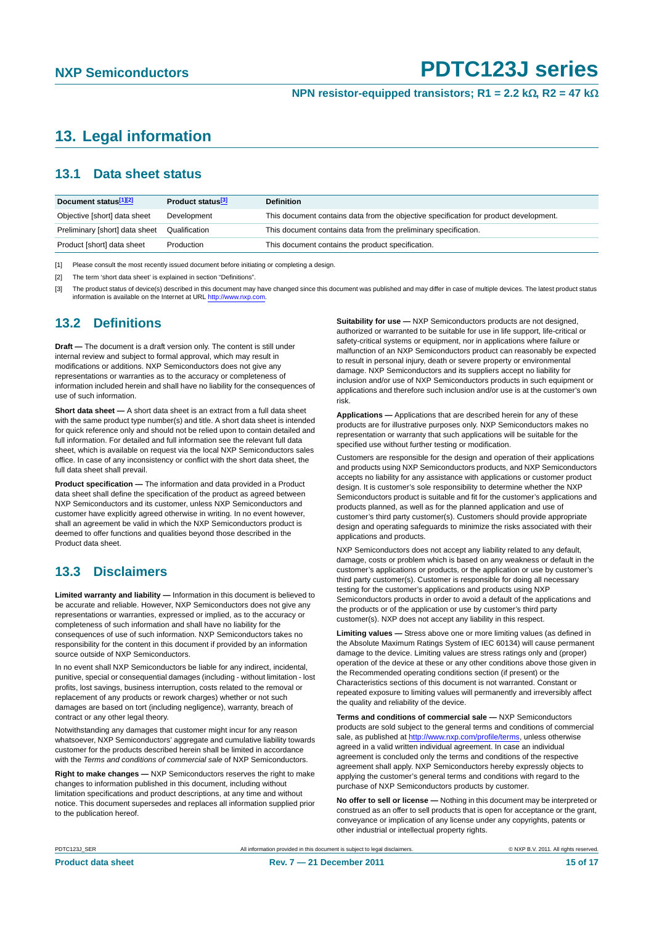## <span id="page-14-0"></span>**13. Legal information**

### <span id="page-14-1"></span>**13.1 Data sheet status**

| Document status[1][2]          | Product status <sup>[3]</sup> | <b>Definition</b>                                                                     |
|--------------------------------|-------------------------------|---------------------------------------------------------------------------------------|
| Objective [short] data sheet   | Development                   | This document contains data from the objective specification for product development. |
| Preliminary [short] data sheet | Qualification                 | This document contains data from the preliminary specification.                       |
| Product [short] data sheet     | Production                    | This document contains the product specification.                                     |

[1] Please consult the most recently issued document before initiating or completing a design.

[2] The term 'short data sheet' is explained in section "Definitions".

[3] The product status of device(s) described in this document may have changed since this document was published and may differ in case of multiple devices. The latest product status<br>information is available on the Intern

### <span id="page-14-2"></span>**13.2 Definitions**

**Draft —** The document is a draft version only. The content is still under internal review and subject to formal approval, which may result in modifications or additions. NXP Semiconductors does not give any representations or warranties as to the accuracy or completeness of information included herein and shall have no liability for the consequences of use of such information.

**Short data sheet —** A short data sheet is an extract from a full data sheet with the same product type number(s) and title. A short data sheet is intended for quick reference only and should not be relied upon to contain detailed and full information. For detailed and full information see the relevant full data sheet, which is available on request via the local NXP Semiconductors sales office. In case of any inconsistency or conflict with the short data sheet, the full data sheet shall prevail.

**Product specification —** The information and data provided in a Product data sheet shall define the specification of the product as agreed between NXP Semiconductors and its customer, unless NXP Semiconductors and customer have explicitly agreed otherwise in writing. In no event however, shall an agreement be valid in which the NXP Semiconductors product is deemed to offer functions and qualities beyond those described in the Product data sheet.

### <span id="page-14-3"></span>**13.3 Disclaimers**

**Limited warranty and liability —** Information in this document is believed to be accurate and reliable. However, NXP Semiconductors does not give any representations or warranties, expressed or implied, as to the accuracy or completeness of such information and shall have no liability for the consequences of use of such information. NXP Semiconductors takes no responsibility for the content in this document if provided by an information source outside of NXP Semiconductors.

In no event shall NXP Semiconductors be liable for any indirect, incidental, punitive, special or consequential damages (including - without limitation - lost profits, lost savings, business interruption, costs related to the removal or replacement of any products or rework charges) whether or not such damages are based on tort (including negligence), warranty, breach of contract or any other legal theory.

Notwithstanding any damages that customer might incur for any reason whatsoever, NXP Semiconductors' aggregate and cumulative liability towards customer for the products described herein shall be limited in accordance with the *Terms and conditions of commercial sale* of NXP Semiconductors.

**Right to make changes —** NXP Semiconductors reserves the right to make changes to information published in this document, including without limitation specifications and product descriptions, at any time and without notice. This document supersedes and replaces all information supplied prior to the publication hereof.

**Suitability for use —** NXP Semiconductors products are not designed, authorized or warranted to be suitable for use in life support, life-critical or safety-critical systems or equipment, nor in applications where failure or malfunction of an NXP Semiconductors product can reasonably be expected to result in personal injury, death or severe property or environmental damage. NXP Semiconductors and its suppliers accept no liability for inclusion and/or use of NXP Semiconductors products in such equipment or applications and therefore such inclusion and/or use is at the customer's own risk.

**Applications —** Applications that are described herein for any of these products are for illustrative purposes only. NXP Semiconductors makes no representation or warranty that such applications will be suitable for the specified use without further testing or modification.

Customers are responsible for the design and operation of their applications and products using NXP Semiconductors products, and NXP Semiconductors accepts no liability for any assistance with applications or customer product design. It is customer's sole responsibility to determine whether the NXP Semiconductors product is suitable and fit for the customer's applications and products planned, as well as for the planned application and use of customer's third party customer(s). Customers should provide appropriate design and operating safeguards to minimize the risks associated with their applications and products.

NXP Semiconductors does not accept any liability related to any default, damage, costs or problem which is based on any weakness or default in the customer's applications or products, or the application or use by customer's third party customer(s). Customer is responsible for doing all necessary testing for the customer's applications and products using NXP Semiconductors products in order to avoid a default of the applications and the products or of the application or use by customer's third party customer(s). NXP does not accept any liability in this respect.

**Limiting values —** Stress above one or more limiting values (as defined in the Absolute Maximum Ratings System of IEC 60134) will cause permanent damage to the device. Limiting values are stress ratings only and (proper) operation of the device at these or any other conditions above those given in the Recommended operating conditions section (if present) or the Characteristics sections of this document is not warranted. Constant or repeated exposure to limiting values will permanently and irreversibly affect the quality and reliability of the device.

**Terms and conditions of commercial sale —** NXP Semiconductors products are sold subject to the general terms and conditions of commercial sale, as published at<http://www.nxp.com/profile/terms>, unless otherwise agreed in a valid written individual agreement. In case an individual agreement is concluded only the terms and conditions of the respective agreement shall apply. NXP Semiconductors hereby expressly objects to applying the customer's general terms and conditions with regard to the purchase of NXP Semiconductors products by customer.

**No offer to sell or license —** Nothing in this document may be interpreted or construed as an offer to sell products that is open for acceptance or the grant, conveyance or implication of any license under any copyrights, patents or other industrial or intellectual property rights.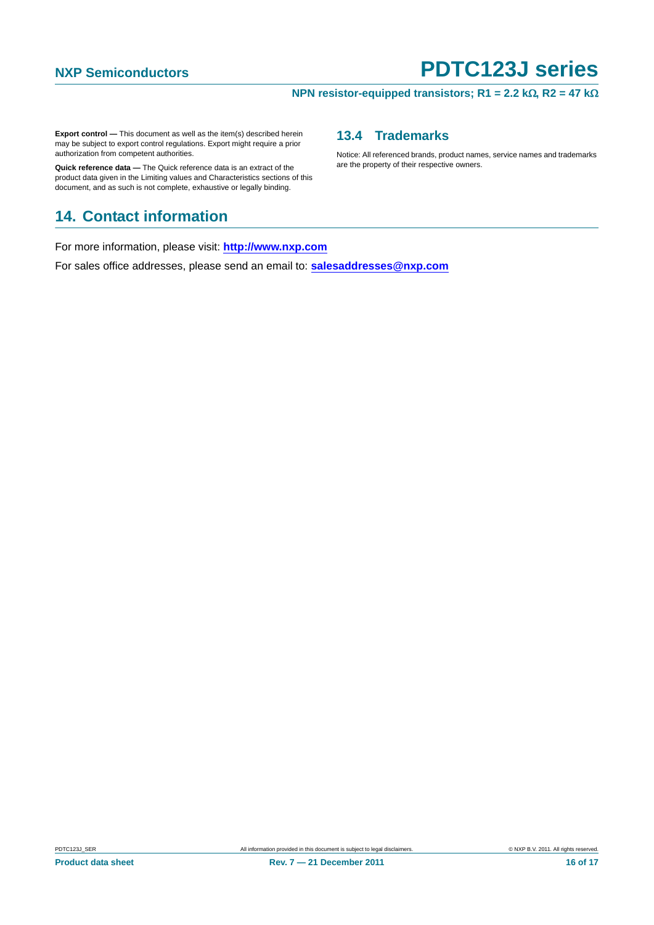#### **NPN resistor-equipped transistors; R1 = 2.2 k** $\Omega$ **, R2 = 47 k** $\Omega$

Notice: All referenced brands, product names, service names and trademarks

<span id="page-15-1"></span>**13.4 Trademarks**

are the property of their respective owners.

**Export control —** This document as well as the item(s) described herein may be subject to export control regulations. Export might require a prior authorization from competent authorities.

**Quick reference data —** The Quick reference data is an extract of the product data given in the Limiting values and Characteristics sections of this document, and as such is not complete, exhaustive or legally binding.

## <span id="page-15-0"></span>**14. Contact information**

For more information, please visit: **http://www.nxp.com**

For sales office addresses, please send an email to: **salesaddresses@nxp.com**